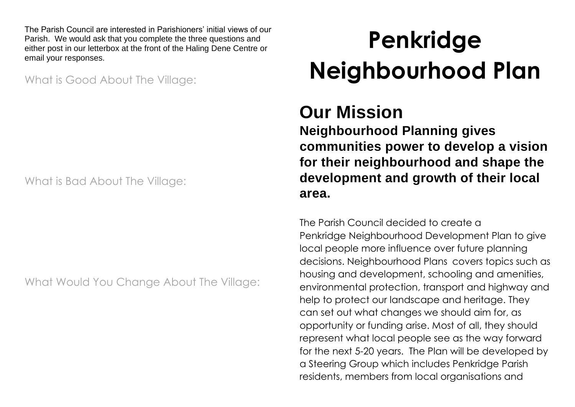The Parish Council are interested in Parishioners' initial views of our Parish. We would ask that you complete the three questions and either post in our letterbox at the front of the Haling Dene Centre or email your responses.

What is Good About The Village:

What is Bad About The Village:

What Would You Change About The Village:

# **Penkridge Neighbourhood Plan**

# **Our Mission**

**Neighbourhood Planning gives communities power to develop a vision for their neighbourhood and shape the development and growth of their local area.**

The Parish Council decided to create a Penkridge [Neighbourhood](https://kinvernplan.co.uk/kinvers-neighbourhood-plan/) Development Plan to give local people more influence over future planning decisions. [Neighbourhood](https://kinvernplan.co.uk/about-neighbourhood-plans/) Plans covers topics such as housing and development, schooling and amenities, environmental protection, transport and highway and help to protect our landscape and heritage. They can set out what changes we should aim for, as opportunity or funding arise. Most of all, they should represent what local people see as the way forward for the next 5-20 years. The Plan will be developed by a [Steering](https://kinvernplan.co.uk/steering-group/) Group which includes Penkridge Parish residents, members from local organisations and